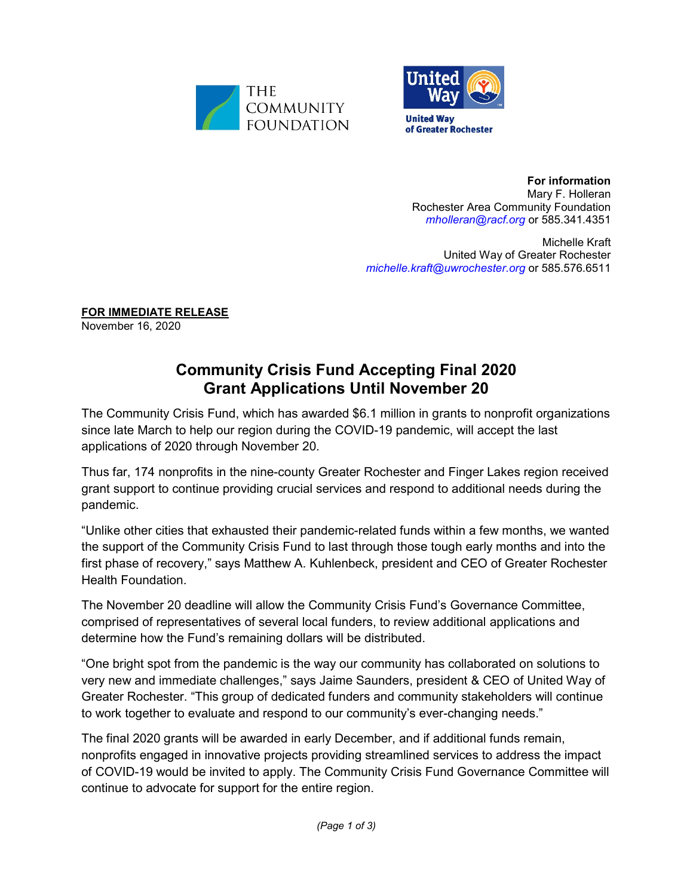



**For information** Mary F. Holleran Rochester Area Community Foundation *[mholleran@racf.org](mailto:mholleran@racf.org)* or 585.341.4351

Michelle Kraft United Way of Greater Rochester *[michelle.kraft@uwrochester.org](mailto:michelle.kraft@uwrochester.org)* or 585.576.6511

**FOR IMMEDIATE RELEASE**

November 16, 2020

## **Community Crisis Fund Accepting Final 2020 Grant Applications Until November 20**

The Community Crisis Fund, which has awarded \$6.1 million in grants to nonprofit organizations since late March to help our region during the COVID-19 pandemic, will accept the last applications of 2020 through November 20.

Thus far, 174 nonprofits in the nine-county Greater Rochester and Finger Lakes region received grant support to continue providing crucial services and respond to additional needs during the pandemic.

"Unlike other cities that exhausted their pandemic-related funds within a few months, we wanted the support of the Community Crisis Fund to last through those tough early months and into the first phase of recovery," says Matthew A. Kuhlenbeck, president and CEO of Greater Rochester Health Foundation.

The November 20 deadline will allow the Community Crisis Fund's Governance Committee, comprised of representatives of several local funders, to review additional applications and determine how the Fund's remaining dollars will be distributed.

"One bright spot from the pandemic is the way our community has collaborated on solutions to very new and immediate challenges," says Jaime Saunders, president & CEO of United Way of Greater Rochester. "This group of dedicated funders and community stakeholders will continue to work together to evaluate and respond to our community's ever-changing needs."

The final 2020 grants will be awarded in early December, and if additional funds remain, nonprofits engaged in innovative projects providing streamlined services to address the impact of COVID-19 would be invited to apply. The Community Crisis Fund Governance Committee will continue to advocate for support for the entire region.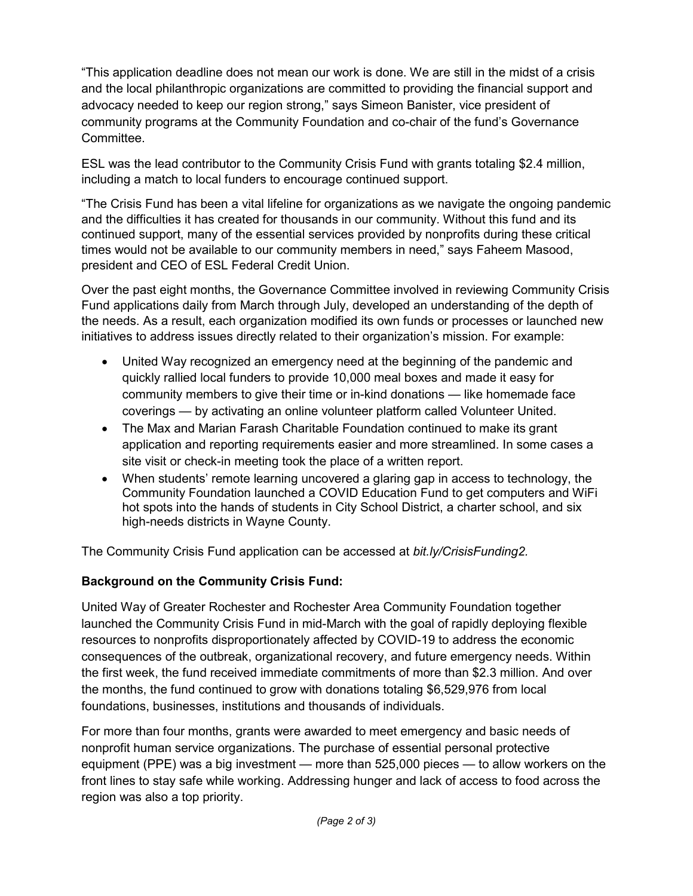"This application deadline does not mean our work is done. We are still in the midst of a crisis and the local philanthropic organizations are committed to providing the financial support and advocacy needed to keep our region strong," says Simeon Banister, vice president of community programs at the Community Foundation and co-chair of the fund's Governance Committee.

ESL was the lead contributor to the Community Crisis Fund with grants totaling \$2.4 million, including a match to local funders to encourage continued support.

"The Crisis Fund has been a vital lifeline for organizations as we navigate the ongoing pandemic and the difficulties it has created for thousands in our community. Without this fund and its continued support, many of the essential services provided by nonprofits during these critical times would not be available to our community members in need," says Faheem Masood, president and CEO of ESL Federal Credit Union.

Over the past eight months, the Governance Committee involved in reviewing Community Crisis Fund applications daily from March through July, developed an understanding of the depth of the needs. As a result, each organization modified its own funds or processes or launched new initiatives to address issues directly related to their organization's mission. For example:

- United Way recognized an emergency need at the beginning of the pandemic and quickly rallied local funders to provide 10,000 meal boxes and made it easy for community members to give their time or in-kind donations — like homemade face coverings — by activating an online volunteer platform called Volunteer United.
- The Max and Marian Farash Charitable Foundation continued to make its grant application and reporting requirements easier and more streamlined. In some cases a site visit or check-in meeting took the place of a written report.
- When students' remote learning uncovered a glaring gap in access to technology, the Community Foundation launched a COVID Education Fund to get computers and WiFi hot spots into the hands of students in City School District, a charter school, and six high-needs districts in Wayne County.

The Community Crisis Fund application can be accessed at *bit.ly/CrisisFunding2.*

## **Background on the Community Crisis Fund:**

United Way of Greater Rochester and Rochester Area Community Foundation together launched the Community Crisis Fund in mid-March with the goal of rapidly deploying flexible resources to nonprofits disproportionately affected by COVID-19 to address the economic consequences of the outbreak, organizational recovery, and future emergency needs. Within the first week, the fund received immediate commitments of more than \$2.3 million. And over the months, the fund continued to grow with donations totaling \$6,529,976 from local foundations, businesses, institutions and thousands of individuals.

For more than four months, grants were awarded to meet emergency and basic needs of nonprofit human service organizations. The purchase of essential personal protective equipment (PPE) was a big investment — more than 525,000 pieces — to allow workers on the front lines to stay safe while working. Addressing hunger and lack of access to food across the region was also a top priority.